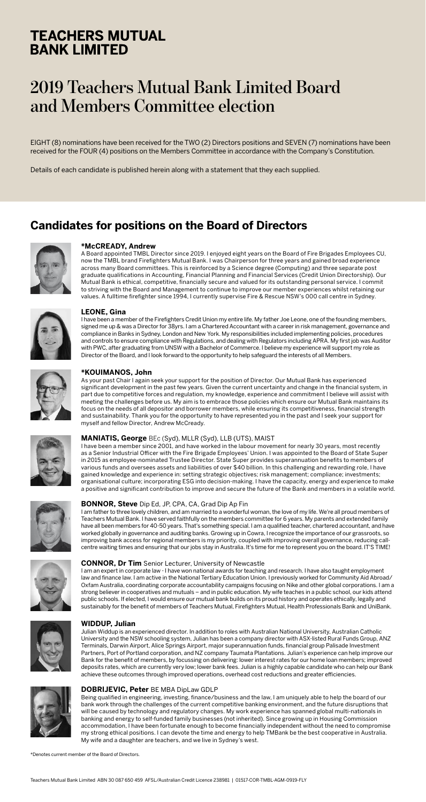## **TEACHERS MUTUAL BANK LIMITED**

# **2019 Teachers Mutual Bank Limited Board and Members Committee election**

EIGHT (8) nominations have been received for the TWO (2) Directors positions and SEVEN (7) nominations have been received for the FOUR (4) positions on the Members Committee in accordance with the Company's Constitution.

Details of each candidate is published herein along with a statement that they each supplied.

### **Candidates for positions on the Board of Directors**



### **\*McCREADY, Andrew**

A Board appointed TMBL Director since 2019. I enjoyed eight years on the Board of Fire Brigades Employees CU, now the TMBL brand Firefighters Mutual Bank. I was Chairperson for three years and gained broad experience across many Board committees. This is reinforced by a Science degree (Computing) and three separate post graduate qualifications in Accounting, Financial Planning and Financial Services (Credit Union Directorship). Our Mutual Bank is ethical, competitive, financially secure and valued for its outstanding personal service. I commit to striving with the Board and Management to continue to improve our member experiences whilst retaining our values. A fulltime firefighter since 1994, I currently supervise Fire & Rescue NSW's 000 call centre in Sydney.



### **LEONE, Gina**

I have been a member of the Firefighters Credit Union my entire life. My father Joe Leone, one of the founding members, signed me up & was a Director for 38yrs. I am a Chartered Accountant with a career in risk management, governance and compliance in Banks in Sydney, London and New York. My responsibilities included implementing policies, procedures and controls to ensure compliance with Regulations, and dealing with Regulators including APRA. My first job was Auditor with PWC, after graduating from UNSW with a Bachelor of Commerce. I believe my experience will support my role as Director of the Board, and I look forward to the opportunity to help safeguard the interests of all Members.



#### **\*KOUIMANOS, John**

As your past Chair I again seek your support for the position of Director. Our Mutual Bank has experienced significant development in the past few years. Given the current uncertainty and change in the financial system, in part due to competitive forces and regulation, my knowledge, experience and commitment I believe will assist with meeting the challenges before us. My aim is to embrace those policies which ensure our Mutual Bank maintains its focus on the needs of all depositor and borrower members, while ensuring its competitiveness, financial strength and sustainability. Thank you for the opportunity to have represented you in the past and I seek your support for myself and fellow Director, Andrew McCready.



#### **MANIATIS, George** BEc (Syd), MLLR (Syd), LLB (UTS), MAIST

I have been a member since 2001, and have worked in the labour movement for nearly 30 years, most recently as a Senior Industrial Officer with the Fire Brigade Employees' Union. I was appointed to the Board of State Super in 2015 as employee-nominated Trustee Director. State Super provides superannuation benefits to members of various funds and oversees assets and liabilities of over \$40 billion. In this challenging and rewarding role, I have gained knowledge and experience in: setting strategic objectives; risk management; compliance; investments; organisational culture; incorporating ESG into decision-making. I have the capacity, energy and experience to make a positive and significant contribution to improve and secure the future of the Bank and members in a volatile world.





### **BONNOR, Steve** Dip Ed, JP, CPA, CA, Grad Dip Ap Fin

I am father to three lovely children, and am married to a wonderful woman, the love of my life. We're all proud members of Teachers Mutual Bank. I have served faithfully on the members committee for 6 years. My parents and extended family have all been members for 40-50 years. That's something special. I am a qualified teacher, chartered accountant, and have worked globally in governance and auditing banks. Growing up in Cowra, I recognize the importance of our grassroots, so improving bank access for regional members is my priority, coupled with improving overall governance, reducing callcentre waiting times and ensuring that our jobs stay in Australia. It's time for me to represent you on the board. IT'S TIME!





I am an expert in corporate law - I have won national awards for teaching and research. I have also taught employment law and finance law. I am active in the National Tertiary Education Union. I previously worked for Community Aid Abroad/ Oxfam Australia, coordinating corporate accountability campaigns focusing on Nike and other global corporations. I am a strong believer in cooperatives and mutuals – and in public education. My wife teaches in a public school, our kids attend public schools. If elected, I would ensure our mutual bank builds on its proud history and operates ethically, legally and sustainably for the benefit of members of Teachers Mutual, Firefighters Mutual, Health Professionals Bank and UniBank.



### **WIDDUP, Julian**

Julian Widdup is an experienced director. In addition to roles with Australian National University, Australian Catholic University and the NSW schooling system, Julian has been a company director with ASX-listed Rural Funds Group, ANZ Terminals, Darwin Airport, Alice Springs Airport, major superannuation funds, financial group Palisade Investment Partners, Port of Portland corporation, and NZ company Taumata Plantations. Julian's experience can help improve our Bank for the benefit of members, by focussing on delivering: lower interest rates for our home loan members; improved deposits rates, which are currently very low; lower bank fees. Julian is a highly capable candidate who can help our Bank achieve these outcomes through improved operations, overhead cost reductions and greater efficiencies.



### **DOBRIJEVIC, Peter** BE MBA DipLaw GDLP

Being qualified in engineering, investing, finance/business and the law, I am uniquely able to help the board of our bank work through the challenges of the current competitive banking environment, and the future disruptions that will be caused by technology and regulatory changes. My work experience has spanned global multi-nationals in banking and energy to self-funded family businesses (not inherited). Since growing up in Housing Commission accommodation, I have been fortunate enough to become financially independent without the need to compromise my strong ethical positions. I can devote the time and energy to help TMBank be the best cooperative in Australia. My wife and a daughter are teachers, and we live in Sydney's west.

\*Denotes current member of the Board of Directors.